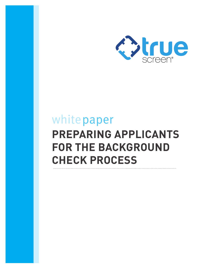

## white paper **PREPARING APPLICANTS FOR THE BACKGROUND CHECK PROCESS**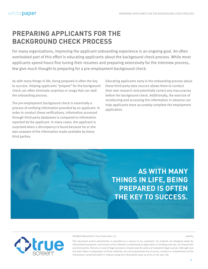## **PREPARING APPLICANTS FOR THE BACKGROUND CHECK PROCESS**

For many organizations, improving the applicant onboarding experience is an ongoing goal. An often overlooked part of this effort is educating applicants about the background check process. While most applicants spend hours fine tuning their resumes and preparing extensively for the interview process, few give much thought to preparing for a pre-employment background check.

As with many things in life, being prepared is often the key to success. Helping applicants "prepare" for the background check can often eliminate surprises or snags that can stall the onboarding process.

The pre-employment background check is essentially a process of verifying information provided by an applicant. In order to conduct these verifications, information accessed through third-party databases is compared to information reported by the applicant. In many cases, the applicant is surprised when a discrepancy is found because he or she was unaware of the information made available by these third parties.

Educating applicants early in the onboarding process about these third-party data sources allows them to conduct their own research and potentially correct any inaccuracies before the background check. Additionally, the exercise of recollecting and accessing this information in advance can help applicants more accurately complete the employment application.

**AS WITH MANY THINGS IN LIFE, BEING PREPARED IS OFTEN THE KEY TO SUCCESS.**



All Rights Reserved © 2014 Truescreen, Inc. 090814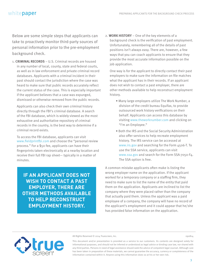Below are some simple steps that applicants can take to proactively monitor third-party sources of personal information prior to the pre-employment background check.

1. **CRIMINAL RECORDS** – U.S. Criminal records are housed in any number of local, county, state and federal courts, as well as in law enforcement and private criminal record databases. Applicants with a criminal incident in their past should contact the jurisdiction where the case was heard to make sure that public records accurately reflect the current status of the case. This is especially important if the applicant believes that a case was expunged, dismissed or otherwise removed from the public records.

Applicants can also check their own criminal history directly through the FBI's criminal database. A search of the FBI database, which is widely viewed as the most exhaustive and authoritative repository of criminal records in the country, is the best way to determine if a criminal record exists.

To access the FBI database, applicants can visit www.fieldprintfbi.com and choose the "personal review process." For a \$50 fee, applicants can have their fingerprints taken electronically at a nearby location and receive their full FBI rap sheet— typically in a matter of minutes.

**IF AN APPLICANT DOES NOT WISH TO CONTACT A PAST EMPLOYER, THERE ARE OTHER METHODS AVAILABLE TO HELP RECONSTRUCT EMPLOYMENT HISTORY.**

2. **WORK HISTORY** – One of the key elements of a background check is the verification of past employment. Unfortunately, remembering all of the details of past positions isn't always easy. There are, however, a few ways that you can coach applicants to ensure that they provide the most accurate information possible on the job application.

One way is for the applicant to directly contact their past employers to make sure the information on file matches what the applicant has in their records. If an applicant does not wish to contact a past employer, there are other methods available to help reconstruct employment history.

- Many large employers utilize The Work Number, a division of the credit bureau Equifax, to provide outsourced work history verifications on their behalf. Applicants can access this database by visiting www.theworknumber.com and clicking on "I'm an Employee."
- Both the IRS and the Social Security Administration also offer services to help recreate employment history. The IRS service can be accessed at www.irs.gov and searching for the Form 4506-T. To use the SSA service, applicants can visit www.ssa.gov and search for the Form SSA-7050-F4. The SSA option is free.

A common mistake applicants often make is listing the wrong employer name on the application. If the applicant worked for a temporary company or a staffing firm, they need to make sure to list the name of the entity that paid them on the application. Applicants are inclined to list the company where they were placed rather than the company that actually paid them. Unless the applicant was a paid employee of a company, the company will have no record of the applicant's employment and it could appear that he/she has provided false information on the application.



All Rights Reserved © 2014 Truescreen, Inc. 090814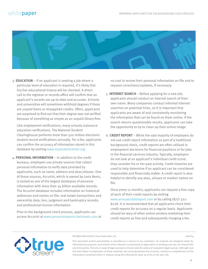

3. **EDUCATION** – If an applicant is seeking a job where a particular level of education is required, it's likely that his/her educational history will be checked. A direct call to the registrar or records office will confirm that an applicant's records are up-to-date and accurate. Schools and universities will sometimes withhold degrees if there are unpaid items or misapplied credits. Often, applicants are surprised to find out that their degree was not verified because of something as simple as an unpaid library fine.

Like employment verifications, many schools outsource education verifications. The National Student Clearinghouse performs more than 500 million electronic student record verifications annually. For a fee, applicants can confirm the accuracy of information stored in this database by visiting www.mystudentcenter.org.

4. **PERSONAL INFORMATION** – In addition to the credit bureaus, employers use private sources that collect personal information to verify data provided by applicants, such as name, address and akas/aliases. One of those sources, Accurint, which is owned by Lexis Nexis, is touted as one of the largest databases of personal information with more than 34 billion available records. The Accurint database includes information on historical addresses and names on file; real estate transactions and ownership data; lien, judgment and bankruptcy records; and professional license information.

Prior to the background check process, applicants can access Accurint at www.personalreports.lexisnexis.com at no cost to review their personal information on file and to request corrections/updates, if necessary.

- 5. **INTERNET SEARCH** Before applying for a new job, applicants should conduct an Internet search of their own name. Many companies conduct informal Internet searches on potential hires, so it is important that applicants are aware of and consistently monitoring the information that can be found on them online. If the search returns questionable results, applicants can take the opportunity to try to clean up their online image.
- 6. **CREDIT REPORT** While the vast majority of employers do not use credit report information as part of a traditional background check, credit reports are often utilized in employment decisions for financial positions or for jobs in the financial services industry. Typically, employers do not look at an applicant's individual credit score; they consider his or her past activity. Credit histories are used to help determine if an applicant can be considered responsible and financially stable. A credit report is also helpful to identify any akas, aliases or maiden names on file.

Once every 12 months, applicants can request a free copy of each of their credit reports by visiting www.annualcreditreport.com or by calling (877) 322- 8228. It is recommended that all applicants check their credit reports for accuracy on a regular basis. Applicants should be wary of other online vendors marketing their credit reports as free and subsequently charging a fee.



All Rights Reserved © 2014 Truescreen, Inc. 090814